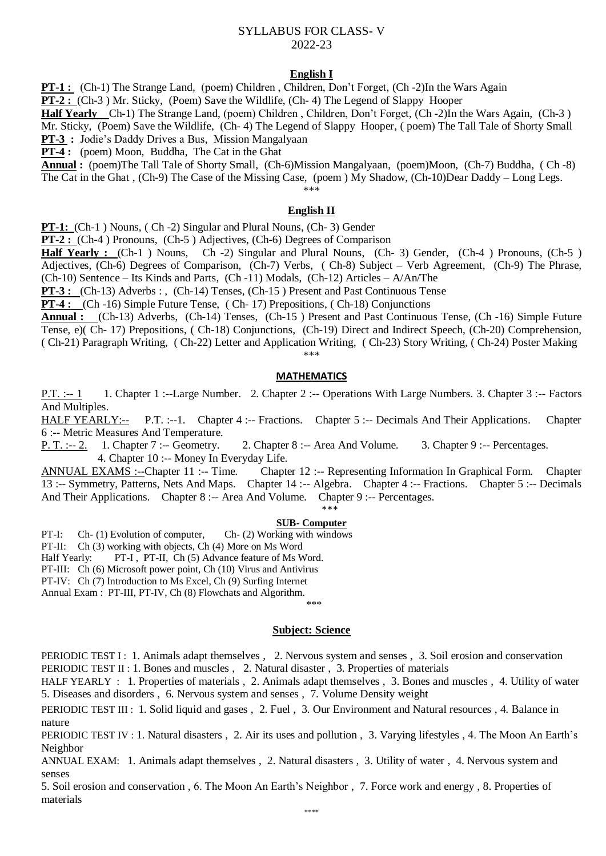## SYLLABUS FOR CLASS- V 2022-23

## **English I**

**PT-1 :** (Ch-1) The Strange Land, (poem) Children, Children, Don't Forget, (Ch-2)In the Wars Again

**PT-2 :** (Ch-3 ) Mr. Sticky, (Poem) Save the Wildlife, (Ch- 4) The Legend of Slappy Hooper

**Half Yearly** Ch-1) The Strange Land, (poem) Children , Children, Don't Forget, (Ch -2)In the Wars Again, (Ch-3 ) Mr. Sticky, (Poem) Save the Wildlife, (Ch- 4) The Legend of Slappy Hooper, ( poem) The Tall Tale of Shorty Small

**PT-3 :** Jodie's Daddy Drives a Bus, Mission Mangalyaan

**PT-4 :** (poem) Moon, Buddha, The Cat in the Ghat

**Annual :** (poem)The Tall Tale of Shorty Small, (Ch-6)Mission Mangalyaan, (poem)Moon, (Ch-7) Buddha, ( Ch -8) The Cat in the Ghat , (Ch-9) The Case of the Missing Case, (poem ) My Shadow, (Ch-10)Dear Daddy – Long Legs.

\*\*\*

## **English II**

**PT-1:** (Ch-1) Nouns, (Ch-2) Singular and Plural Nouns, (Ch-3) Gender

**PT-2 :** (Ch-4 ) Pronouns, (Ch-5 ) Adjectives, (Ch-6) Degrees of Comparison

**Half Yearly :** (Ch-1 ) Nouns, Ch -2) Singular and Plural Nouns, (Ch- 3) Gender, (Ch-4 ) Pronouns, (Ch-5 ) Adjectives, (Ch-6) Degrees of Comparison, (Ch-7) Verbs, ( Ch-8) Subject – Verb Agreement, (Ch-9) The Phrase, (Ch-10) Sentence – Its Kinds and Parts, (Ch -11) Modals, (Ch-12) Articles – A/An/The

**PT-3 :** (Ch-13) Adverbs : , (Ch-14) Tenses, (Ch-15 ) Present and Past Continuous Tense

**PT-4 :** (Ch -16) Simple Future Tense, ( Ch- 17) Prepositions, ( Ch-18) Conjunctions

**Annual :** (Ch-13) Adverbs, (Ch-14) Tenses, (Ch-15 ) Present and Past Continuous Tense, (Ch -16) Simple Future Tense, e)( Ch- 17) Prepositions, ( Ch-18) Conjunctions, (Ch-19) Direct and Indirect Speech, (Ch-20) Comprehension, ( Ch-21) Paragraph Writing, ( Ch-22) Letter and Application Writing, ( Ch-23) Story Writing, ( Ch-24) Poster Making \*\*\*

#### **MATHEMATICS**

P.T. :-- 1 1. Chapter 1 :--Large Number. 2. Chapter 2 :-- Operations With Large Numbers. 3. Chapter 3 :-- Factors And Multiples.

HALF YEARLY:-- P.T. :--1. Chapter 4 :-- Fractions. Chapter 5 :-- Decimals And Their Applications. Chapter 6 :-- Metric Measures And Temperature.

P. T. :-- 2. 1. Chapter 7 :-- Geometry. 2. Chapter 8 :-- Area And Volume. 3. Chapter 9 :-- Percentages. 4. Chapter 10 :-- Money In Everyday Life.

ANNUAL EXAMS :--Chapter 11 :-- Time. Chapter 12 :-- Representing Information In Graphical Form. Chapter 13 :-- Symmetry, Patterns, Nets And Maps. Chapter 14 :-- Algebra. Chapter 4 :-- Fractions. Chapter 5 :-- Decimals And Their Applications. Chapter 8 :-- Area And Volume. Chapter 9 :-- Percentages. \*\*\*

# **SUB- Computer**

PT-I: Ch- (1) Evolution of computer, Ch- (2) Working with windows

PT-II: Ch (3) working with objects, Ch (4) More on Ms Word

Half Yearly: PT-I, PT-II, Ch (5) Advance feature of Ms Word.

PT-III: Ch (6) Microsoft power point, Ch (10) Virus and Antivirus

PT-IV: Ch (7) Introduction to Ms Excel, Ch (9) Surfing Internet

Annual Exam : PT-III, PT-IV, Ch (8) Flowchats and Algorithm. \*\*\*

# **Subject: Science**

PERIODIC TEST I: 1. Animals adapt themselves , 2. Nervous system and senses , 3. Soil erosion and conservation PERIODIC TEST II : 1. Bones and muscles, 2. Natural disaster, 3. Properties of materials

HALF YEARLY : 1. Properties of materials , 2. Animals adapt themselves , 3. Bones and muscles , 4. Utility of water 5. Diseases and disorders , 6. Nervous system and senses , 7. Volume Density weight

PERIODIC TEST III : 1. Solid liquid and gases, 2. Fuel, 3. Our Environment and Natural resources, 4. Balance in nature

PERIODIC TEST IV : 1. Natural disasters , 2. Air its uses and pollution , 3. Varying lifestyles , 4. The Moon An Earth's Neighbor

ANNUAL EXAM: 1. Animals adapt themselves , 2. Natural disasters , 3. Utility of water , 4. Nervous system and senses

5. Soil erosion and conservation , 6. The Moon An Earth's Neighbor , 7. Force work and energy , 8. Properties of materials